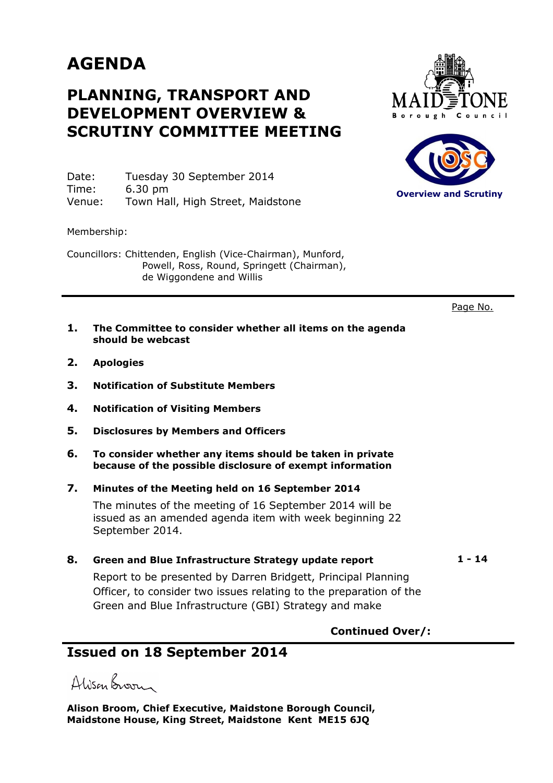# **AGENDA**

## **PLANNING, TRANSPORT AND DEVELOPMENT OVERVIEW & SCRUTINY COMMITTEE MEETING**

Date: Tuesday 30 September 2014 Time: 6.30 pm Venue: Town Hall, High Street, Maidstone

Membership:

Councillors: Chittenden, English (Vice-Chairman), Munford, Powell, Ross, Round, Springett (Chairman), de Wiggondene and Willis





Page No.

- **1. The Committee to consider whether all items on the agenda should be webcast**
- **2. Apologies**
- **3. Notification of Substitute Members**
- **4. Notification of Visiting Members**
- **5. Disclosures by Members and Officers**
- **6. To consider whether any items should be taken in private because of the possible disclosure of exempt information**
- **7. Minutes of the Meeting held on 16 September 2014**

The minutes of the meeting of 16 September 2014 will be issued as an amended agenda item with week beginning 22 September 2014.

#### 8. Green and Blue Infrastructure Strategy update report 1 - 14

Report to be presented by Darren Bridgett, Principal Planning Officer, to consider two issues relating to the preparation of the Green and Blue Infrastructure (GBI) Strategy and make

### **Continued Over/:**

### **Issued on 18 September 2014**

Alisan Broom

**Alison Broom, Chief Executive, Maidstone Borough Council, Maidstone House, King Street, Maidstone Kent ME15 6JQ**